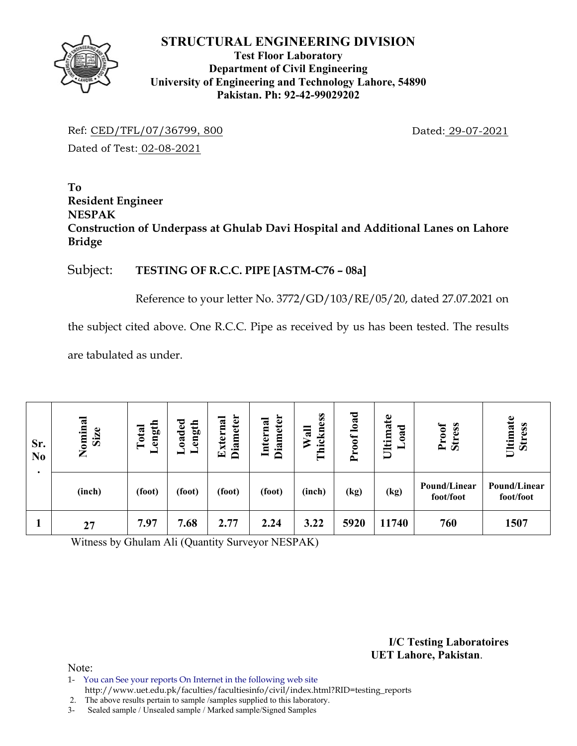

## **Test Floor Laboratory Department of Civil Engineering University of Engineering and Technology Lahore, 54890 Pakistan. Ph: 92-42-99029202**

Ref: CED/TFL/07/36799, 800 Dated: 29-07-2021 Dated of Test: 02-08-2021

### **To Resident Engineer NESPAK Construction of Underpass at Ghulab Davi Hospital and Additional Lanes on Lahore Bridge**

## Subject: **TESTING OF R.C.C. PIPE [ASTM-C76 – 08a]**

Reference to your letter No. 3772/GD/103/RE/05/20, dated 27.07.2021 on

the subject cited above. One R.C.C. Pipe as received by us has been tested. The results

are tabulated as under.

| Sr.<br>N <sub>0</sub> | Nominal<br>Size | ength<br>Total<br>▬ | <b>Diameter</b><br>Externa<br>oaded<br>Length<br>— |        | <b>Diameter</b><br>Internal | Thickness<br>Wall | load<br>oof<br>$\sim$ | Ultimate<br>ರ<br>ē | Proof<br><b>Stress</b>    | Ultimate<br><b>Stress</b> |
|-----------------------|-----------------|---------------------|----------------------------------------------------|--------|-----------------------------|-------------------|-----------------------|--------------------|---------------------------|---------------------------|
| ٠                     | (inch)          | (foot)              | (foot)                                             | (foot) | (foot)                      | (inch)            | (kg)                  | (kg)               | Pound/Linear<br>foot/foot | Pound/Linear<br>foot/foot |
|                       | 27              | 7.97                | 7.68                                               | 2.77   | 2.24                        | 3.22              | 5920                  | 11740              | 760                       | 1507                      |

Witness by Ghulam Ali (Quantity Surveyor NESPAK)

**I/C Testing Laboratoires UET Lahore, Pakistan**.

- 1- You can See your reports On Internet in the following web site
- http://www.uet.edu.pk/faculties/facultiesinfo/civil/index.html?RID=testing\_reports 2. The above results pertain to sample /samples supplied to this laboratory.
- 3- Sealed sample / Unsealed sample / Marked sample/Signed Samples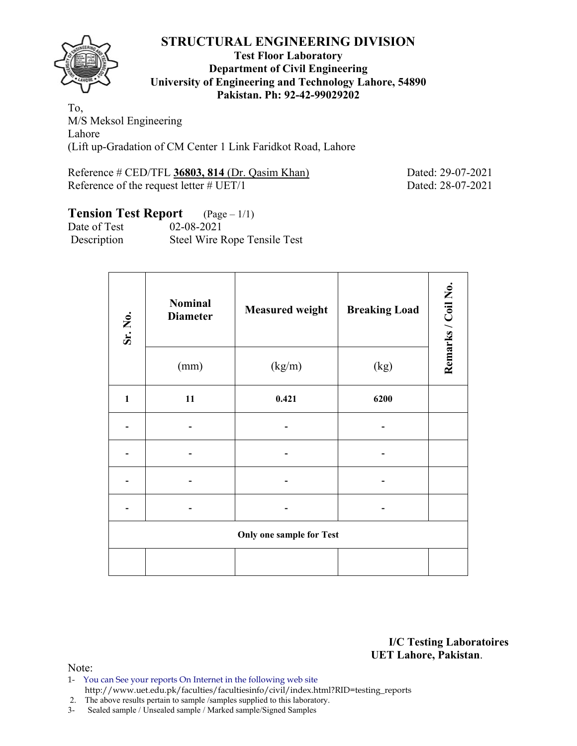#### **Test Floor Laboratory Department of Civil Engineering University of Engineering and Technology Lahore, 54890 Pakistan. Ph: 92-42-99029202**

To, M/S Meksol Engineering Lahore (Lift up-Gradation of CM Center 1 Link Faridkot Road, Lahore

Reference # CED/TFL **36803, 814** (Dr. Qasim Khan) Dated: 29-07-2021 Reference of the request letter # UET/1 Dated: 28-07-2021

# **Tension Test Report** (Page – 1/1)

| Date of Test | $02 - 08 - 2021$             |
|--------------|------------------------------|
| Description  | Steel Wire Rope Tensile Test |

| Sr. No.      | <b>Nominal</b><br><b>Diameter</b> | <b>Measured weight</b>          | <b>Breaking Load</b> | Remarks / Coil No. |
|--------------|-----------------------------------|---------------------------------|----------------------|--------------------|
|              | (mm)                              | (kg/m)                          | (kg)                 |                    |
| $\mathbf{1}$ | 11                                | 0.421                           | 6200                 |                    |
|              |                                   |                                 |                      |                    |
|              |                                   |                                 |                      |                    |
|              |                                   |                                 |                      |                    |
|              |                                   |                                 |                      |                    |
|              |                                   | <b>Only one sample for Test</b> |                      |                    |
|              |                                   |                                 |                      |                    |

**I/C Testing Laboratoires UET Lahore, Pakistan**.

Note:

1- You can See your reports On Internet in the following web site http://www.uet.edu.pk/faculties/facultiesinfo/civil/index.html?RID=testing\_reports

2. The above results pertain to sample /samples supplied to this laboratory.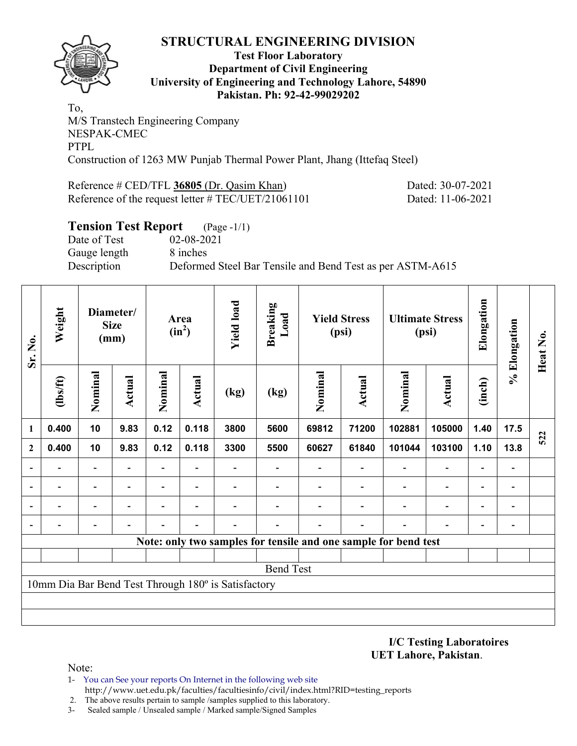

#### **Test Floor Laboratory Department of Civil Engineering University of Engineering and Technology Lahore, 54890 Pakistan. Ph: 92-42-99029202**

To, M/S Transtech Engineering Company NESPAK-CMEC PTPL Construction of 1263 MW Punjab Thermal Power Plant, Jhang (Ittefaq Steel)

Reference # CED/TFL **36805** (Dr. Qasim Khan) Dated: 30-07-2021 Reference of the request letter # TEC/UET/21061101 Dated: 11-06-2021

## **Tension Test Report** (Page -1/1) Date of Test 02-08-2021 Gauge length 8 inches Description Deformed Steel Bar Tensile and Bend Test as per ASTM-A615

| Sr. No.      | Weight           | Diameter/<br><b>Size</b><br>(mm) |                |                          | Area<br>$(in^2)$         | <b>Yield load</b>                                   | <b>Breaking</b><br>Load  |         | <b>Yield Stress</b><br>(psi) | <b>Ultimate Stress</b><br>(psi)                                 |                          | Elongation               | % Elongation                 | Heat No. |
|--------------|------------------|----------------------------------|----------------|--------------------------|--------------------------|-----------------------------------------------------|--------------------------|---------|------------------------------|-----------------------------------------------------------------|--------------------------|--------------------------|------------------------------|----------|
|              | $lbsft$          | Nominal                          | Actual         | Nominal                  | <b>Actual</b>            | (kg)                                                | (kg)                     | Nominal | Nominal<br><b>Actual</b>     |                                                                 | <b>Actual</b>            | (inch)                   |                              |          |
| 1            | 0.400            | 10                               | 9.83           | 0.12                     | 0.118                    | 3800                                                | 5600                     | 69812   | 71200                        | 102881                                                          | 105000                   | 1.40                     | 17.5                         | 522      |
| $\mathbf{2}$ | 0.400            | 10                               | 9.83           | 0.12                     | 0.118                    | 3300                                                | 5500                     | 60627   | 61840                        | 101044                                                          | 103100                   | 1.10                     | 13.8                         |          |
|              |                  | $\overline{\phantom{0}}$         | $\overline{a}$ | $\overline{\phantom{0}}$ | $\overline{\phantom{a}}$ |                                                     | $\overline{\phantom{0}}$ |         |                              |                                                                 | $\overline{\phantom{a}}$ | $\overline{\phantom{0}}$ | $\qquad \qquad \blacksquare$ |          |
|              |                  | $\overline{\phantom{0}}$         |                | $\overline{\phantom{0}}$ | $\overline{\phantom{a}}$ |                                                     |                          |         |                              |                                                                 | $\overline{\phantom{0}}$ | $\overline{\phantom{0}}$ | $\qquad \qquad \blacksquare$ |          |
|              |                  | $\overline{\phantom{0}}$         |                |                          |                          |                                                     |                          |         |                              |                                                                 | $\blacksquare$           | $\overline{\phantom{0}}$ | $\qquad \qquad \blacksquare$ |          |
|              |                  | $\overline{\phantom{0}}$         |                |                          |                          |                                                     |                          |         |                              |                                                                 |                          |                          | -                            |          |
|              |                  |                                  |                |                          |                          |                                                     |                          |         |                              | Note: only two samples for tensile and one sample for bend test |                          |                          |                              |          |
|              |                  |                                  |                |                          |                          |                                                     |                          |         |                              |                                                                 |                          |                          |                              |          |
|              | <b>Bend Test</b> |                                  |                |                          |                          |                                                     |                          |         |                              |                                                                 |                          |                          |                              |          |
|              |                  |                                  |                |                          |                          | 10mm Dia Bar Bend Test Through 180° is Satisfactory |                          |         |                              |                                                                 |                          |                          |                              |          |
|              |                  |                                  |                |                          |                          |                                                     |                          |         |                              |                                                                 |                          |                          |                              |          |
|              |                  |                                  |                |                          |                          |                                                     |                          |         |                              |                                                                 |                          |                          |                              |          |

**I/C Testing Laboratoires UET Lahore, Pakistan**.

- 1- You can See your reports On Internet in the following web site http://www.uet.edu.pk/faculties/facultiesinfo/civil/index.html?RID=testing\_reports
- 2. The above results pertain to sample /samples supplied to this laboratory.
- 3- Sealed sample / Unsealed sample / Marked sample/Signed Samples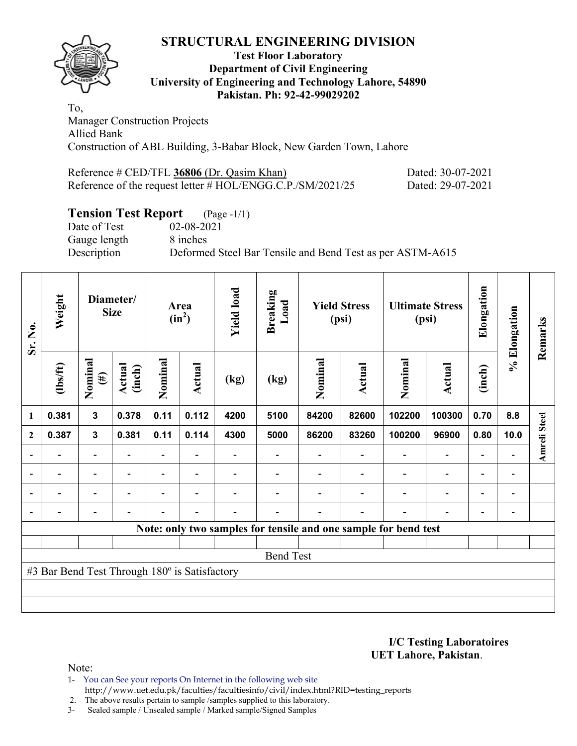

#### **Test Floor Laboratory Department of Civil Engineering University of Engineering and Technology Lahore, 54890 Pakistan. Ph: 92-42-99029202**

To, Manager Construction Projects Allied Bank Construction of ABL Building, 3-Babar Block, New Garden Town, Lahore

| Reference $\#$ CED/TFL 36806 (Dr. Qasim Khan)                 | Dated: 30-07-2021 |
|---------------------------------------------------------------|-------------------|
| Reference of the request letter $\#$ HOL/ENGG.C.P./SM/2021/25 | Dated: 29-07-2021 |

# **Tension Test Report** (Page -1/1)

Gauge length 8 inches

Date of Test 02-08-2021 Description Deformed Steel Bar Tensile and Bend Test as per ASTM-A615

| Sr. No.                  | Weight                                        |                          | Diameter/<br><b>Size</b> |                          | Area<br>$(in^2)$         | <b>Yield load</b> | <b>Breaking</b><br>Load |         | <b>Yield Stress</b><br>(psi) |                                                                 | <b>Ultimate Stress</b><br>(psi) | Elongation               | % Elongation                 | Remarks      |
|--------------------------|-----------------------------------------------|--------------------------|--------------------------|--------------------------|--------------------------|-------------------|-------------------------|---------|------------------------------|-----------------------------------------------------------------|---------------------------------|--------------------------|------------------------------|--------------|
|                          | (1bs/ft)                                      | Nominal<br>$(\#)$        | Actual<br>(inch)         | Nominal                  | Actual                   | (kg)              | (kg)                    | Nominal | <b>Actual</b>                | Nominal                                                         | Actual                          | (inch)                   |                              |              |
| 1                        | 0.381                                         | 3                        | 0.378                    | 0.11                     | 0.112                    | 4200              | 5100                    | 84200   | 82600                        | 102200                                                          | 100300                          | 0.70                     | 8.8                          |              |
| $\mathbf{2}$             | 0.387                                         | $\mathbf{3}$             | 0.381                    | 0.11                     | 0.114                    | 4300              | 5000                    | 86200   | 83260                        | 100200                                                          | 96900                           | 0.80                     | 10.0                         | Amreli Steel |
|                          |                                               |                          |                          |                          |                          |                   |                         |         |                              |                                                                 |                                 |                          |                              |              |
| $\overline{\phantom{a}}$ |                                               | $\overline{\phantom{0}}$ | $\overline{\phantom{0}}$ |                          | $\overline{\phantom{a}}$ |                   |                         |         |                              |                                                                 | $\overline{\phantom{a}}$        | $\overline{\phantom{0}}$ | $\qquad \qquad \blacksquare$ |              |
|                          |                                               | $\overline{\phantom{0}}$ |                          | $\overline{\phantom{0}}$ | $\overline{\phantom{a}}$ |                   |                         |         |                              |                                                                 | $\blacksquare$                  | $\overline{\phantom{0}}$ | $\overline{\phantom{0}}$     |              |
|                          |                                               | $\overline{\phantom{0}}$ |                          |                          | $\overline{\phantom{0}}$ |                   |                         |         |                              |                                                                 | $\overline{\phantom{0}}$        | $\overline{\phantom{0}}$ | $\overline{a}$               |              |
|                          |                                               |                          |                          |                          |                          |                   |                         |         |                              | Note: only two samples for tensile and one sample for bend test |                                 |                          |                              |              |
|                          |                                               |                          |                          |                          |                          |                   |                         |         |                              |                                                                 |                                 |                          |                              |              |
|                          |                                               |                          |                          |                          |                          |                   | <b>Bend Test</b>        |         |                              |                                                                 |                                 |                          |                              |              |
|                          | #3 Bar Bend Test Through 180° is Satisfactory |                          |                          |                          |                          |                   |                         |         |                              |                                                                 |                                 |                          |                              |              |
|                          |                                               |                          |                          |                          |                          |                   |                         |         |                              |                                                                 |                                 |                          |                              |              |
|                          |                                               |                          |                          |                          |                          |                   |                         |         |                              |                                                                 |                                 |                          |                              |              |

**I/C Testing Laboratoires UET Lahore, Pakistan**.

- 1- You can See your reports On Internet in the following web site http://www.uet.edu.pk/faculties/facultiesinfo/civil/index.html?RID=testing\_reports
- 2. The above results pertain to sample /samples supplied to this laboratory.
- 3- Sealed sample / Unsealed sample / Marked sample/Signed Samples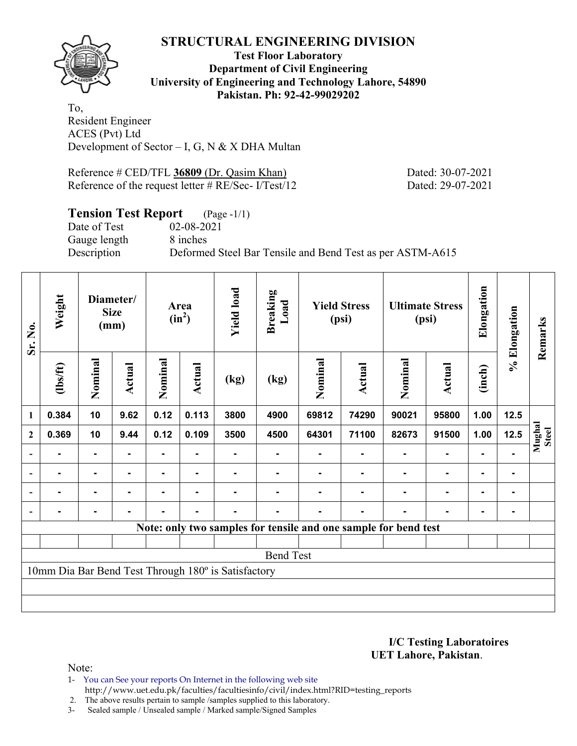

**Test Floor Laboratory Department of Civil Engineering University of Engineering and Technology Lahore, 54890 Pakistan. Ph: 92-42-99029202** 

To, Resident Engineer ACES (Pvt) Ltd Development of Sector – I, G, N & X DHA Multan

Reference # CED/TFL 36809 (Dr. Qasim Khan) Dated: 30-07-2021 Reference of the request letter # RE/Sec- I/Test/12 Dated: 29-07-2021

# **Tension Test Report** (Page -1/1)

Date of Test 02-08-2021 Gauge length 8 inches

Description Deformed Steel Bar Tensile and Bend Test as per ASTM-A615

| Sr. No.                  | Weight   |                | Diameter/<br><b>Size</b><br>(mm) |         | Area<br>$(in^2)$ | <b>Yield load</b>                                   | <b>Breaking</b><br>Load |                   | <b>Yield Stress</b><br>(psi) |                                                                 | <b>Ultimate Stress</b><br>(psi) | Elongation     | % Elongation | Remarks                |
|--------------------------|----------|----------------|----------------------------------|---------|------------------|-----------------------------------------------------|-------------------------|-------------------|------------------------------|-----------------------------------------------------------------|---------------------------------|----------------|--------------|------------------------|
|                          | (1bs/ft) | Nominal        | Actual                           | Nominal | <b>Actual</b>    | (kg)                                                | (kg)                    | Nominal<br>Actual |                              | Nominal                                                         | <b>Actual</b>                   | (inch)         |              |                        |
| $\mathbf{1}$             | 0.384    | 10             | 9.62                             | 0.12    | 0.113            | 3800                                                | 4900                    | 69812             | 74290                        | 90021                                                           | 95800                           | 1.00           | 12.5         |                        |
| $\boldsymbol{2}$         | 0.369    | 10             | 9.44                             | 0.12    | 0.109            | 3500                                                | 4500                    | 64301             | 71100                        | 82673                                                           | 91500                           | 1.00           | 12.5         | Mughal<br><b>Steel</b> |
| $\overline{\phantom{a}}$ |          | ۰              |                                  |         |                  |                                                     |                         |                   |                              |                                                                 | ۰                               |                |              |                        |
| $\overline{\phantom{a}}$ | ۰        | $\blacksquare$ | $\blacksquare$                   | ۰       | $\blacksquare$   |                                                     |                         |                   |                              |                                                                 | ۰                               | $\blacksquare$ |              |                        |
| $\blacksquare$           |          | ۰              | $\blacksquare$                   | ۰       | $\blacksquare$   |                                                     |                         |                   |                              |                                                                 | ۰                               | $\blacksquare$ |              |                        |
|                          |          | ۰              |                                  |         |                  |                                                     |                         |                   |                              |                                                                 |                                 |                |              |                        |
|                          |          |                |                                  |         |                  |                                                     |                         |                   |                              | Note: only two samples for tensile and one sample for bend test |                                 |                |              |                        |
|                          |          |                |                                  |         |                  |                                                     |                         |                   |                              |                                                                 |                                 |                |              |                        |
|                          |          |                |                                  |         |                  |                                                     | <b>Bend Test</b>        |                   |                              |                                                                 |                                 |                |              |                        |
|                          |          |                |                                  |         |                  | 10mm Dia Bar Bend Test Through 180° is Satisfactory |                         |                   |                              |                                                                 |                                 |                |              |                        |
|                          |          |                |                                  |         |                  |                                                     |                         |                   |                              |                                                                 |                                 |                |              |                        |
|                          |          |                |                                  |         |                  |                                                     |                         |                   |                              |                                                                 |                                 |                |              |                        |

**I/C Testing Laboratoires UET Lahore, Pakistan**.

Note:

1- You can See your reports On Internet in the following web site http://www.uet.edu.pk/faculties/facultiesinfo/civil/index.html?RID=testing\_reports

2. The above results pertain to sample /samples supplied to this laboratory.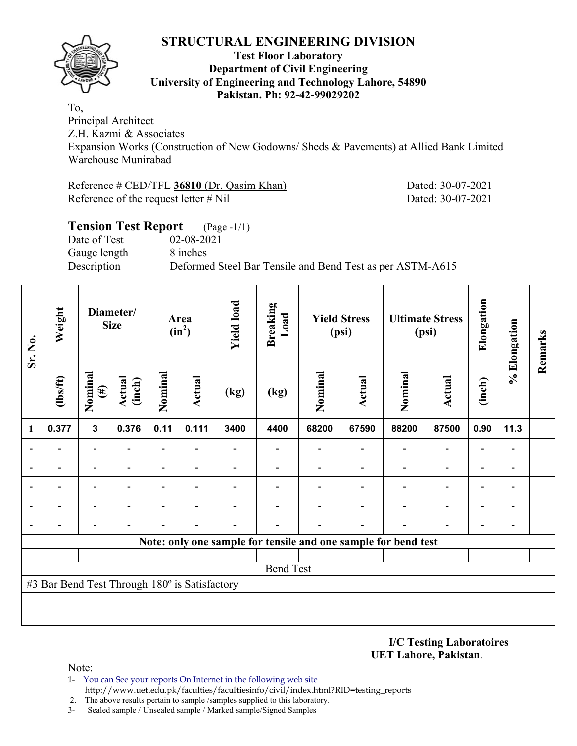

#### **Test Floor Laboratory Department of Civil Engineering University of Engineering and Technology Lahore, 54890 Pakistan. Ph: 92-42-99029202**

To, Principal Architect

Z.H. Kazmi & Associates

Expansion Works (Construction of New Godowns/ Sheds & Pavements) at Allied Bank Limited Warehouse Munirabad

Reference # CED/TFL 36810 (Dr. Qasim Khan) Dated: 30-07-2021 Reference of the request letter # Nil Dated: 30-07-2021

| <b>Tension Test Report</b> | $(Page - 1/1)$                                            |
|----------------------------|-----------------------------------------------------------|
| Date of Test               | 02-08-2021                                                |
| Gauge length               | 8 inches                                                  |
| Description                | Deformed Steel Bar Tensile and Bend Test as per ASTM-A615 |
|                            |                                                           |

| Weight<br>Sr. No. |                                               | Diameter/<br><b>Size</b> |                         | Area<br>$(in^2)$         | <b>Yield load</b>        | <b>Breaking</b><br>Load |                                                                | <b>Yield Stress</b><br>(psi) |                          | <b>Ultimate Stress</b><br>(psi) | Elongation               | % Elongation             | Remarks                      |  |
|-------------------|-----------------------------------------------|--------------------------|-------------------------|--------------------------|--------------------------|-------------------------|----------------------------------------------------------------|------------------------------|--------------------------|---------------------------------|--------------------------|--------------------------|------------------------------|--|
|                   | $\frac{2}{10}$                                | Nominal<br>$(\#)$        | <b>Actual</b><br>(inch) | Nominal                  | Actual                   | (kg)                    | (kg)                                                           | Nominal                      | Nominal<br><b>Actual</b> |                                 | <b>Actual</b>            | (inch)                   |                              |  |
| 1                 | 0.377                                         | $\mathbf{3}$             | 0.376                   | 0.11                     | 0.111                    | 3400                    | 4400                                                           | 68200                        | 67590                    | 88200                           | 87500                    | 0.90                     | 11.3                         |  |
| $\blacksquare$    |                                               |                          |                         | $\overline{\phantom{0}}$ |                          |                         |                                                                |                              |                          | $\overline{\phantom{0}}$        | $\overline{\phantom{0}}$ | $\overline{\phantom{0}}$ |                              |  |
| $\blacksquare$    |                                               |                          |                         | $\blacksquare$           |                          |                         |                                                                |                              |                          |                                 | $\overline{\phantom{0}}$ | $\overline{\phantom{0}}$ |                              |  |
| ۰                 |                                               |                          |                         | $\overline{a}$           |                          |                         |                                                                |                              |                          |                                 | $\overline{\phantom{0}}$ | $\overline{\phantom{0}}$ |                              |  |
| ۰                 |                                               | $\overline{\phantom{0}}$ | ۰                       | $\overline{\phantom{0}}$ | $\overline{\phantom{0}}$ |                         |                                                                |                              |                          |                                 | $\overline{\phantom{a}}$ | $\overline{\phantom{a}}$ | $\qquad \qquad \blacksquare$ |  |
|                   |                                               |                          |                         |                          |                          |                         |                                                                |                              |                          |                                 |                          | $\overline{\phantom{0}}$ | $\overline{a}$               |  |
|                   |                                               |                          |                         |                          |                          |                         | Note: only one sample for tensile and one sample for bend test |                              |                          |                                 |                          |                          |                              |  |
|                   |                                               |                          |                         |                          |                          |                         |                                                                |                              |                          |                                 |                          |                          |                              |  |
|                   |                                               |                          |                         |                          |                          |                         | <b>Bend Test</b>                                               |                              |                          |                                 |                          |                          |                              |  |
|                   | #3 Bar Bend Test Through 180° is Satisfactory |                          |                         |                          |                          |                         |                                                                |                              |                          |                                 |                          |                          |                              |  |
|                   |                                               |                          |                         |                          |                          |                         |                                                                |                              |                          |                                 |                          |                          |                              |  |
|                   |                                               |                          |                         |                          |                          |                         |                                                                |                              |                          |                                 |                          |                          |                              |  |

**I/C Testing Laboratoires UET Lahore, Pakistan**.

- 1- You can See your reports On Internet in the following web site http://www.uet.edu.pk/faculties/facultiesinfo/civil/index.html?RID=testing\_reports
- 2. The above results pertain to sample /samples supplied to this laboratory.
- 3- Sealed sample / Unsealed sample / Marked sample/Signed Samples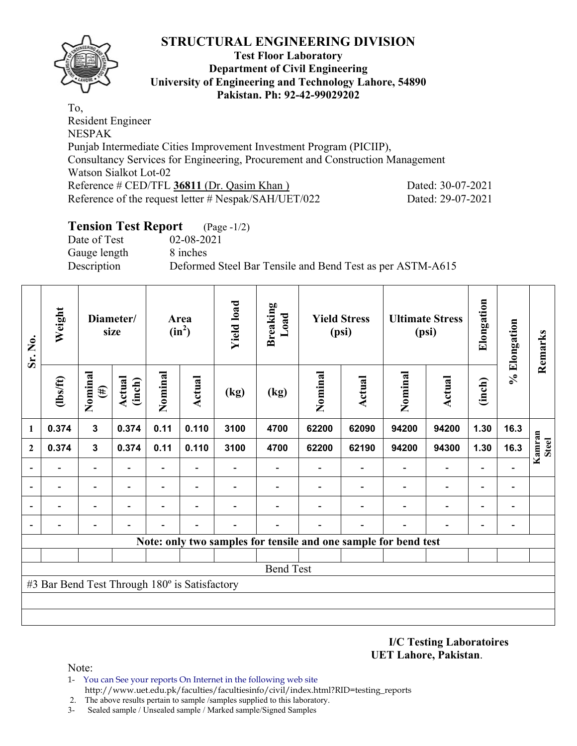## **Test Floor Laboratory Department of Civil Engineering University of Engineering and Technology Lahore, 54890 Pakistan. Ph: 92-42-99029202**

To, Resident Engineer NESPAK Punjab Intermediate Cities Improvement Investment Program (PICIIP), Consultancy Services for Engineering, Procurement and Construction Management Watson Sialkot Lot-02 Reference # CED/TFL 36811 (Dr. Qasim Khan ) Dated: 30-07-2021 Reference of the request letter # Nespak/SAH/UET/022 Dated: 29-07-2021

## **Tension Test Report** (Page -1/2)

Date of Test 02-08-2021 Gauge length 8 inches

Description Deformed Steel Bar Tensile and Bend Test as per ASTM-A615

| Sr. No.        | Weight                                        |                          | Diameter/<br>size       |         | Area<br>$(in^2)$         | <b>Yield load</b> | <b>Breaking</b><br>Load  |                          | <b>Yield Stress</b><br>(psi)                                    |                          | <b>Ultimate Stress</b><br>(psi) | Elongation               | % Elongation   | Remarks                |
|----------------|-----------------------------------------------|--------------------------|-------------------------|---------|--------------------------|-------------------|--------------------------|--------------------------|-----------------------------------------------------------------|--------------------------|---------------------------------|--------------------------|----------------|------------------------|
|                | $\frac{2}{10}$                                | Nominal<br>$(\#)$        | <b>Actual</b><br>(inch) | Nominal | Actual                   | (kg)              | (kg)                     | Nominal<br><b>Actual</b> |                                                                 | Nominal                  | <b>Actual</b>                   | (inch)                   |                |                        |
| $\mathbf{1}$   | 0.374                                         | $\mathbf{3}$             | 0.374                   | 0.11    | 0.110                    | 3100              | 4700                     | 62200                    | 62090                                                           | 94200                    | 94200                           | 1.30                     | 16.3           |                        |
| $\mathbf{2}$   | 0.374                                         | $\mathbf{3}$             | 0.374                   | 0.11    | 0.110                    | 3100              | 4700                     | 62200                    | 62190                                                           | 94200                    | 94300                           | 1.30                     | 16.3           | Kamran<br><b>Steel</b> |
|                | $\blacksquare$                                | $\blacksquare$           | $\blacksquare$          | Ξ.      | $\blacksquare$           |                   | $\overline{\phantom{a}}$ |                          |                                                                 | $\overline{\phantom{a}}$ | $\overline{\phantom{a}}$        |                          |                |                        |
|                |                                               | $\overline{\phantom{0}}$ |                         |         |                          |                   |                          |                          |                                                                 |                          | $\overline{\phantom{0}}$        | $\overline{\phantom{0}}$ | $\overline{a}$ |                        |
| $\blacksquare$ |                                               | -                        |                         |         | $\overline{\phantom{0}}$ |                   |                          |                          |                                                                 |                          |                                 | $\overline{\phantom{0}}$ | $\overline{a}$ |                        |
| $\overline{a}$ |                                               |                          |                         |         |                          |                   |                          |                          |                                                                 |                          |                                 |                          | $\overline{a}$ |                        |
|                |                                               |                          |                         |         |                          |                   |                          |                          | Note: only two samples for tensile and one sample for bend test |                          |                                 |                          |                |                        |
|                |                                               |                          |                         |         |                          |                   |                          |                          |                                                                 |                          |                                 |                          |                |                        |
|                |                                               |                          |                         |         |                          |                   | <b>Bend Test</b>         |                          |                                                                 |                          |                                 |                          |                |                        |
|                | #3 Bar Bend Test Through 180° is Satisfactory |                          |                         |         |                          |                   |                          |                          |                                                                 |                          |                                 |                          |                |                        |
|                |                                               |                          |                         |         |                          |                   |                          |                          |                                                                 |                          |                                 |                          |                |                        |
|                |                                               |                          |                         |         |                          |                   |                          |                          |                                                                 |                          |                                 |                          |                |                        |

**I/C Testing Laboratoires UET Lahore, Pakistan**.

- 1- You can See your reports On Internet in the following web site http://www.uet.edu.pk/faculties/facultiesinfo/civil/index.html?RID=testing\_reports
- 2. The above results pertain to sample /samples supplied to this laboratory.
- 3- Sealed sample / Unsealed sample / Marked sample/Signed Samples

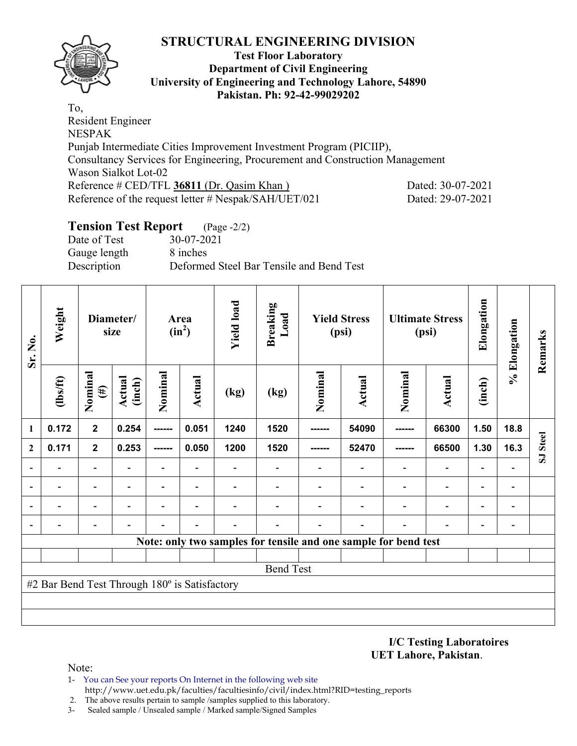

#### **Test Floor Laboratory Department of Civil Engineering University of Engineering and Technology Lahore, 54890 Pakistan. Ph: 92-42-99029202**

To, Resident Engineer NESPAK Punjab Intermediate Cities Improvement Investment Program (PICIIP), Consultancy Services for Engineering, Procurement and Construction Management Wason Sialkot Lot-02 Reference # CED/TFL 36811 (Dr. Qasim Khan ) Dated: 30-07-2021 Reference of the request letter # Nespak/SAH/UET/021 Dated: 29-07-2021

## **Tension Test Report** (Page -2/2)

Date of Test 30-07-2021 Gauge length 8 inches Description Deformed Steel Bar Tensile and Bend Test

| Sr. No.      | Weight                                        |                          | Diameter/<br>size       |                          | Area<br>$(in^2)$ | <b>Yield load</b> | <b>Breaking</b><br>Load |         | <b>Yield Stress</b><br>(psi)                                    |        | <b>Ultimate Stress</b><br>(psi) | Elongation     | % Elongation             | Remarks  |
|--------------|-----------------------------------------------|--------------------------|-------------------------|--------------------------|------------------|-------------------|-------------------------|---------|-----------------------------------------------------------------|--------|---------------------------------|----------------|--------------------------|----------|
|              | $\frac{2}{10}$                                | Nominal<br>$(\#)$        | <b>Actual</b><br>(inch) | Nominal                  | Actual           | (kg)              | (kg)                    | Nominal | Nominal<br><b>Actual</b>                                        |        | <b>Actual</b>                   | (inch)         |                          |          |
| 1            | 0.172                                         | $\mathbf{2}$             | 0.254                   | ------                   | 0.051            | 1240              | 1520                    | ------  | 54090                                                           | ------ | 66300                           | 1.50           | 18.8                     |          |
| $\mathbf{2}$ | 0.171                                         | $\overline{2}$           | 0.253                   | ------                   | 0.050            | 1200              | 1520                    | ------  | 52470                                                           | ------ | 66500                           | 1.30           | 16.3                     | SJ Steel |
|              |                                               | ۰                        |                         |                          |                  |                   |                         |         |                                                                 |        |                                 |                |                          |          |
|              |                                               | $\overline{\phantom{0}}$ |                         | $\blacksquare$           |                  |                   |                         |         |                                                                 |        | $\overline{\phantom{0}}$        | $\blacksquare$ |                          |          |
|              |                                               | $\overline{\phantom{0}}$ |                         | $\overline{\phantom{0}}$ | $\blacksquare$   |                   |                         |         |                                                                 |        | $\overline{\phantom{0}}$        |                |                          |          |
|              |                                               | $\overline{\phantom{0}}$ |                         |                          |                  |                   |                         |         |                                                                 |        |                                 |                | $\overline{\phantom{0}}$ |          |
|              |                                               |                          |                         |                          |                  |                   |                         |         | Note: only two samples for tensile and one sample for bend test |        |                                 |                |                          |          |
|              |                                               |                          |                         |                          |                  |                   |                         |         |                                                                 |        |                                 |                |                          |          |
|              |                                               |                          |                         |                          |                  |                   | <b>Bend Test</b>        |         |                                                                 |        |                                 |                |                          |          |
|              | #2 Bar Bend Test Through 180° is Satisfactory |                          |                         |                          |                  |                   |                         |         |                                                                 |        |                                 |                |                          |          |
|              |                                               |                          |                         |                          |                  |                   |                         |         |                                                                 |        |                                 |                |                          |          |
|              |                                               |                          |                         |                          |                  |                   |                         |         |                                                                 |        |                                 |                |                          |          |

**I/C Testing Laboratoires UET Lahore, Pakistan**.

- 1- You can See your reports On Internet in the following web site http://www.uet.edu.pk/faculties/facultiesinfo/civil/index.html?RID=testing\_reports
- 2. The above results pertain to sample /samples supplied to this laboratory.
- 3- Sealed sample / Unsealed sample / Marked sample/Signed Samples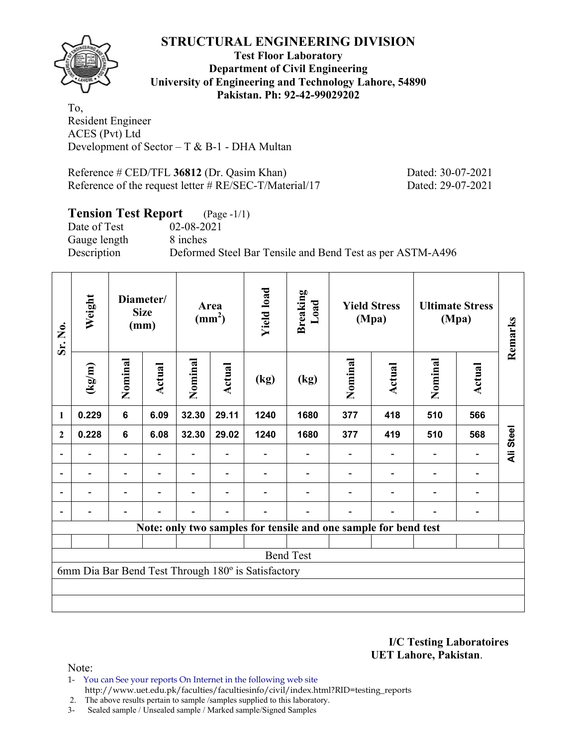

**Test Floor Laboratory Department of Civil Engineering University of Engineering and Technology Lahore, 54890 Pakistan. Ph: 92-42-99029202** 

To, Resident Engineer ACES (Pvt) Ltd Development of Sector –  $T & B-1$  - DHA Multan

Reference # CED/TFL **36812** (Dr. Qasim Khan) Dated: 30-07-2021 Reference of the request letter # RE/SEC-T/Material/17 Dated: 29-07-2021

## **Tension Test Report** (Page -1/1)

Date of Test 02-08-2021 Gauge length 8 inches

Description Deformed Steel Bar Tensile and Bend Test as per ASTM-A496

| Sr. No.                  | Weight                           |                | Diameter/<br><b>Size</b><br>(mm) | Area<br>$\text{(mm}^2)$ |        | <b>Yield load</b>                                  | <b>Breaking</b><br>Load                                         |                          | <b>Yield Stress</b><br>(Mpa) |         | <b>Ultimate Stress</b><br>(Mpa) | Remarks   |
|--------------------------|----------------------------------|----------------|----------------------------------|-------------------------|--------|----------------------------------------------------|-----------------------------------------------------------------|--------------------------|------------------------------|---------|---------------------------------|-----------|
|                          | $\frac{(\text{kg/m})}{\text{m}}$ | Nominal        | Actual                           | Nominal                 | Actual | (kg)                                               | (kg)                                                            | Nominal                  | Actual                       | Nominal | Actual                          |           |
| 1                        | 0.229                            | $6\phantom{1}$ | 6.09                             | 32.30                   | 29.11  | 1240                                               | 1680                                                            | 377                      | 418                          | 510     | 566                             |           |
| $\boldsymbol{2}$         | 0.228                            | $6\phantom{1}$ | 6.08                             | 32.30                   | 29.02  | 1240                                               | 1680                                                            | 377                      | 419                          | 510     | 568                             | Ali Steel |
| $\overline{\phantom{0}}$ |                                  |                |                                  |                         |        |                                                    |                                                                 |                          |                              |         |                                 |           |
| $\overline{\phantom{0}}$ |                                  |                |                                  |                         |        |                                                    |                                                                 | $\overline{\phantom{a}}$ |                              |         | -                               |           |
| ۰                        |                                  | ۰              |                                  |                         |        |                                                    | $\blacksquare$                                                  |                          |                              |         |                                 |           |
|                          |                                  | ۰              |                                  |                         |        |                                                    |                                                                 |                          |                              |         |                                 |           |
|                          |                                  |                |                                  |                         |        |                                                    | Note: only two samples for tensile and one sample for bend test |                          |                              |         |                                 |           |
|                          |                                  |                |                                  |                         |        |                                                    |                                                                 |                          |                              |         |                                 |           |
|                          |                                  |                |                                  |                         |        |                                                    | <b>Bend Test</b>                                                |                          |                              |         |                                 |           |
|                          |                                  |                |                                  |                         |        | 6mm Dia Bar Bend Test Through 180° is Satisfactory |                                                                 |                          |                              |         |                                 |           |
|                          |                                  |                |                                  |                         |        |                                                    |                                                                 |                          |                              |         |                                 |           |
|                          |                                  |                |                                  |                         |        |                                                    |                                                                 |                          |                              |         |                                 |           |

**I/C Testing Laboratoires UET Lahore, Pakistan**.

- 1- You can See your reports On Internet in the following web site http://www.uet.edu.pk/faculties/facultiesinfo/civil/index.html?RID=testing\_reports
- 2. The above results pertain to sample /samples supplied to this laboratory.
- 3- Sealed sample / Unsealed sample / Marked sample/Signed Samples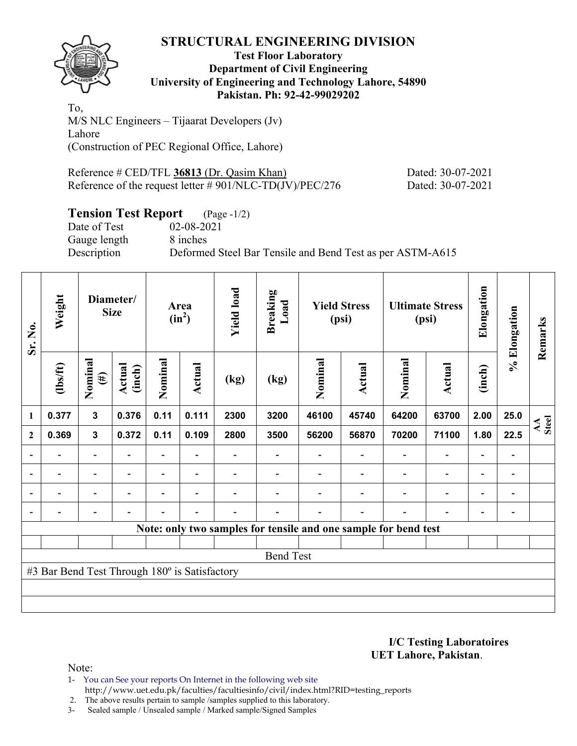

#### **Test Floor Laboratory Department of Civil Engineering University of Engineering and Technology Lahore, 54890 Pakistan. Ph: 92-42-99029202**

To, M/S NLC Engineers – Tijaarat Developers (Jv) Lahore (Construction of PEC Regional Office, Lahore)

Reference # CED/TFL 36813 (Dr. Qasim Khan) Dated: 30-07-2021 Reference of the request letter # 901/NLC-TD(JV)/PEC/276 Dated: 30-07-2021

# **Tension Test Report** (Page -1/2)

Date of Test 02-08-2021 Gauge length 8 inches Description Deformed Steel Bar Tensile and Bend Test as per ASTM-A615

| Sr. No.                                                         | Weight        | Diameter/<br><b>Size</b> |                  | Area<br>$(in^2)$         |        | <b>Yield load</b> | <b>Breaking</b><br>Load | <b>Yield Stress</b><br>(psi) |               | <b>Ultimate Stress</b><br>(psi) |                          | Elongation               | % Elongation                 | Remarks     |
|-----------------------------------------------------------------|---------------|--------------------------|------------------|--------------------------|--------|-------------------|-------------------------|------------------------------|---------------|---------------------------------|--------------------------|--------------------------|------------------------------|-------------|
|                                                                 | $\frac{1}{2}$ | Nominal<br>$(\#)$        | Actual<br>(inch) | Nominal                  | Actual | (kg)              | (kg)                    | Nominal                      | <b>Actual</b> | Nominal                         | Actual                   | (inch)                   |                              |             |
| 1                                                               | 0.377         | $\mathbf{3}$             | 0.376            | 0.11                     | 0.111  | 2300              | 3200                    | 46100                        | 45740         | 64200                           | 63700                    | 2.00                     | 25.0                         | AA<br>Steel |
| $\mathbf{2}$                                                    | 0.369         | $\mathbf{3}$             | 0.372            | 0.11                     | 0.109  | 2800              | 3500                    | 56200                        | 56870         | 70200                           | 71100                    | 1.80                     | 22.5                         |             |
|                                                                 |               | $\overline{\phantom{0}}$ |                  | $\overline{\phantom{0}}$ |        |                   |                         |                              |               |                                 | $\overline{\phantom{a}}$ |                          |                              |             |
|                                                                 |               | -                        |                  |                          |        |                   |                         |                              |               |                                 |                          |                          | $\qquad \qquad$              |             |
| $\blacksquare$                                                  |               | $\overline{\phantom{0}}$ |                  |                          | ۰      |                   |                         |                              |               |                                 | $\overline{\phantom{0}}$ | $\overline{\phantom{0}}$ | $\qquad \qquad \blacksquare$ |             |
|                                                                 |               | $\overline{\phantom{0}}$ |                  |                          | ٠      |                   |                         |                              |               |                                 |                          | $\overline{\phantom{0}}$ | -                            |             |
| Note: only two samples for tensile and one sample for bend test |               |                          |                  |                          |        |                   |                         |                              |               |                                 |                          |                          |                              |             |
|                                                                 |               |                          |                  |                          |        |                   |                         |                              |               |                                 |                          |                          |                              |             |
| <b>Bend Test</b>                                                |               |                          |                  |                          |        |                   |                         |                              |               |                                 |                          |                          |                              |             |
| #3 Bar Bend Test Through 180° is Satisfactory                   |               |                          |                  |                          |        |                   |                         |                              |               |                                 |                          |                          |                              |             |
|                                                                 |               |                          |                  |                          |        |                   |                         |                              |               |                                 |                          |                          |                              |             |
|                                                                 |               |                          |                  |                          |        |                   |                         |                              |               |                                 |                          |                          |                              |             |

**I/C Testing Laboratoires UET Lahore, Pakistan**.

Note:

1- You can See your reports On Internet in the following web site http://www.uet.edu.pk/faculties/facultiesinfo/civil/index.html?RID=testing\_reports

2. The above results pertain to sample /samples supplied to this laboratory.